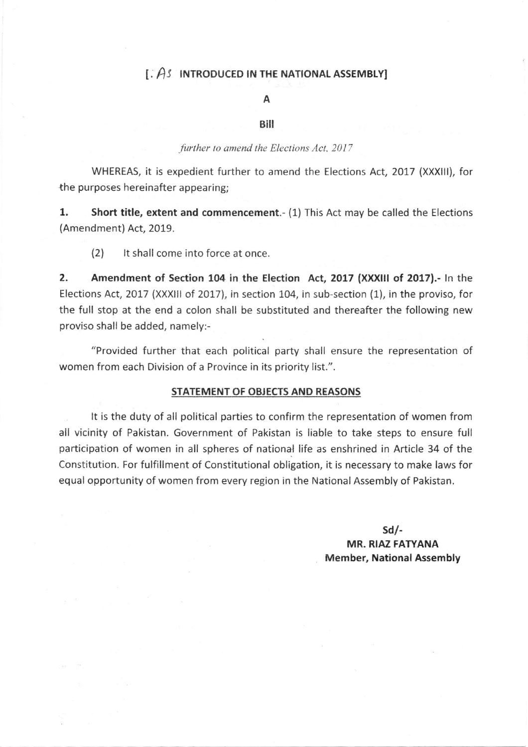## $\Gamma$ .  $\hat{A}$  INTRODUCED IN THE NATIONAL ASSEMBLY]

### A

#### Bill

#### further to amend the Elections Act, 2017

WHEREAS, it is expedient further to amend the Elections Act,2017 (XXXlll), for the purposes hereinafter appearing;

1. Short title, extent and commencement.- (1) This Act may be called the Elections (Amendment) Act, 2019.

(2) lt shall come into force at once.

2. Amendment of Section 104 in the Election Act, 2017 (XXXIII of 2017).- In the Elections Act, 2017 (XXXIII of 2017), in section 104, in sub-section (1), in the proviso, for the full stop at the end a colon shall be substituted and thereafter the following new proviso shall be added, namely:-

"Provided further that each political party shall ensure the representation of women from each Division of a Province in its priority list.".

#### STATEMENT OF OBJECTS AND REASONS

It is the duty of all political parties to confirm the representation of women from all vicinity of Pakistan. Government of Pakistan is liable to take steps to ensure full participation of women in all spheres of national life as enshrined in Article 34 of the Constitution. For fulfillment of Constitutional obligation, it is necessary to make laws for equal opportunity of women from every region in the National Assembly of Pakistan.

> sd/- MR. RIAZ FATYANA Member, National Assembly